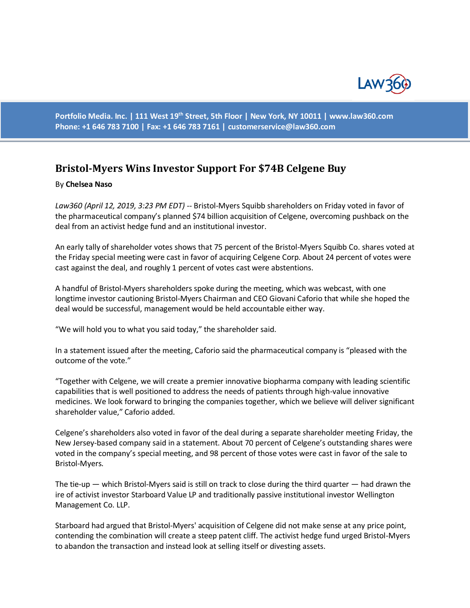

**Portfolio Media. Inc. | 111 West 19th Street, 5th Floor | New York, NY 10011 | www.law360.com Phone: +1 646 783 7100 | Fax: +1 646 783 7161 | [customerservice@law360.com](mailto:customerservice@law360.com)**

## **Bristol-Myers Wins Investor Support For \$74B Celgene Buy**

## By **Chelsea Naso**

*Law360 (April 12, 2019, 3:23 PM EDT) --* Bristol-Myers Squibb shareholders on Friday voted in favor of the pharmaceutical company's planned \$74 billion acquisition of Celgene, overcoming pushback on the deal from an activist hedge fund and an institutional investor.

An early tally of shareholder votes shows that 75 percent of the Bristol-Myers Squibb Co. shares voted at the Friday special meeting were cast in favor of acquiring Celgene Corp. About 24 percent of votes were cast against the deal, and roughly 1 percent of votes cast were abstentions.

A handful of Bristol-Myers shareholders spoke during the meeting, which was webcast, with one longtime investor cautioning Bristol-Myers Chairman and CEO Giovani Caforio that while she hoped the deal would be successful, management would be held accountable either way.

"We will hold you to what you said today," the shareholder said.

In a statement issued after the meeting, Caforio said the pharmaceutical company is "pleased with the outcome of the vote."

"Together with Celgene, we will create a premier innovative biopharma company with leading scientific capabilities that is well positioned to address the needs of patients through high-value innovative medicines. We look forward to bringing the companies together, which we believe will deliver significant shareholder value," Caforio added.

Celgene's shareholders also voted in favor of the deal during a separate shareholder meeting Friday, the New Jersey-based company said in a statement. About 70 percent of Celgene's outstanding shares were voted in the company's special meeting, and 98 percent of those votes were cast in favor of the sale to Bristol-Myers.

The tie-up — which Bristol-Myers said is still on track to close during the third quarter — had drawn the ire of activist investor Starboard Value LP and traditionally passive institutional investor Wellington Management Co. LLP.

Starboard had argued that Bristol-Myers' acquisition of Celgene did not make sense at any price point, contending the combination will create a steep patent cliff. The activist hedge fund urged Bristol-Myers to abandon the transaction and instead look at selling itself or divesting assets.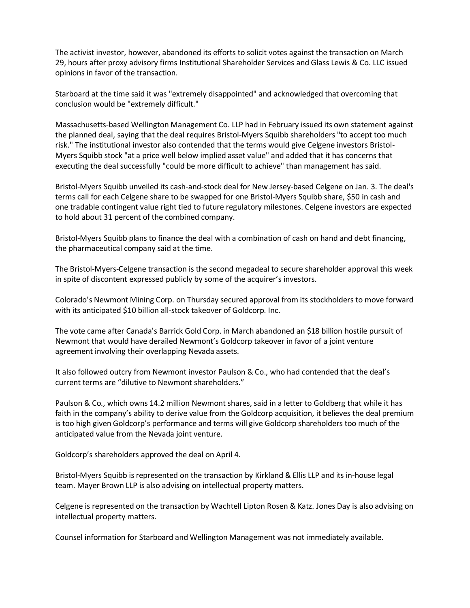The activist investor, however, abandoned its efforts to solicit votes against the transaction on March 29, hours after proxy advisory firms Institutional Shareholder Services and Glass Lewis & Co. LLC issued opinions in favor of the transaction.

Starboard at the time said it was "extremely disappointed" and acknowledged that overcoming that conclusion would be "extremely difficult."

Massachusetts-based Wellington Management Co. LLP had in February issued its own statement against the planned deal, saying that the deal requires Bristol-Myers Squibb shareholders "to accept too much risk." The institutional investor also contended that the terms would give Celgene investors Bristol-Myers Squibb stock "at a price well below implied asset value" and added that it has concerns that executing the deal successfully "could be more difficult to achieve" than management has said.

Bristol-Myers Squibb unveiled its cash-and-stock deal for New Jersey-based Celgene on Jan. 3. The deal's terms call for each Celgene share to be swapped for one Bristol-Myers Squibb share, \$50 in cash and one tradable contingent value right tied to future regulatory milestones. Celgene investors are expected to hold about 31 percent of the combined company.

Bristol-Myers Squibb plans to finance the deal with a combination of cash on hand and debt financing, the pharmaceutical company said at the time.

The Bristol-Myers-Celgene transaction is the second megadeal to secure shareholder approval this week in spite of discontent expressed publicly by some of the acquirer's investors.

Colorado's Newmont Mining Corp. on Thursday secured approval from its stockholders to move forward with its anticipated \$10 billion all-stock takeover of Goldcorp. Inc.

The vote came after Canada's Barrick Gold Corp. in March abandoned an \$18 billion hostile pursuit of Newmont that would have derailed Newmont's Goldcorp takeover in favor of a joint venture agreement involving their overlapping Nevada assets.

It also followed outcry from Newmont investor Paulson & Co., who had contended that the deal's current terms are "dilutive to Newmont shareholders."

Paulson & Co., which owns 14.2 million Newmont shares, said in a letter to Goldberg that while it has faith in the company's ability to derive value from the Goldcorp acquisition, it believes the deal premium is too high given Goldcorp's performance and terms will give Goldcorp shareholders too much of the anticipated value from the Nevada joint venture.

Goldcorp's shareholders approved the deal on April 4.

Bristol-Myers Squibb is represented on the transaction by Kirkland & Ellis LLP and its in-house legal team. Mayer Brown LLP is also advising on intellectual property matters.

Celgene is represented on the transaction by Wachtell Lipton Rosen & Katz. Jones Day is also advising on intellectual property matters.

Counsel information for Starboard and Wellington Management was not immediately available.